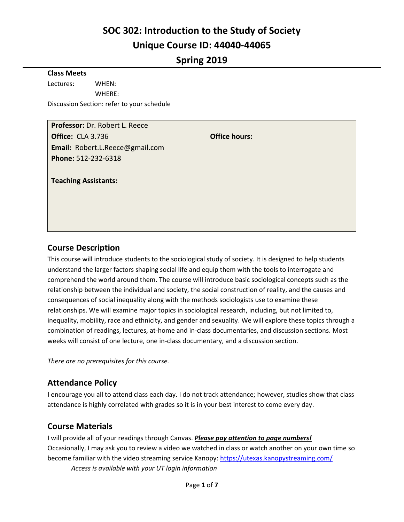# **SOC 302: Introduction to the Study of Society Unique Course ID: 44040-44065**

# **Spring 2019**

#### **Class Meets**

Lectures: WHEN: WHERE: Discussion Section: refer to your schedule

**Professor:** Dr. Robert L. Reece **Office:** CLA 3.736 **Office hours: Email:** Robert.L.Reece@gmail.com **Phone:** 512-232-6318

**Teaching Assistants:**

## **Course Description**

This course will introduce students to the sociological study of society. It is designed to help students understand the larger factors shaping social life and equip them with the tools to interrogate and comprehend the world around them. The course will introduce basic sociological concepts such as the relationship between the individual and society, the social construction of reality, and the causes and consequences of social inequality along with the methods sociologists use to examine these relationships. We will examine major topics in sociological research, including, but not limited to, inequality, mobility, race and ethnicity, and gender and sexuality. We will explore these topics through a combination of readings, lectures, at-home and in-class documentaries, and discussion sections. Most weeks will consist of one lecture, one in-class documentary, and a discussion section.

*There are no prerequisites for this course.*

# **Attendance Policy**

I encourage you all to attend class each day. I do not track attendance; however, studies show that class attendance is highly correlated with grades so it is in your best interest to come every day.

# **Course Materials**

I will provide all of your readings through Canvas. *Please pay attention to page numbers!* Occasionally, I may ask you to review a video we watched in class or watch another on your own time so become familiar with the video streaming service Kanopy[: https://utexas.kanopystreaming.com/](https://utexas.kanopystreaming.com/) *Access is available with your UT login information*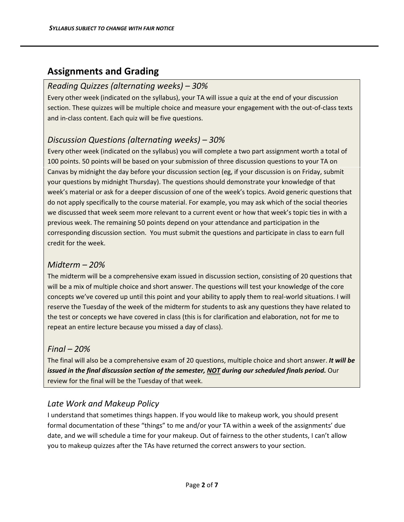# **Assignments and Grading**

## *Reading Quizzes (alternating weeks) – 30%*

Every other week (indicated on the syllabus), your TA will issue a quiz at the end of your discussion section. These quizzes will be multiple choice and measure your engagement with the out-of-class texts and in-class content. Each quiz will be five questions.

# *Discussion Questions (alternating weeks) – 30%*

Every other week (indicated on the syllabus) you will complete a two part assignment worth a total of 100 points. 50 points will be based on your submission of three discussion questions to your TA on Canvas by midnight the day before your discussion section (eg, if your discussion is on Friday, submit your questions by midnight Thursday). The questions should demonstrate your knowledge of that week's material or ask for a deeper discussion of one of the week's topics. Avoid generic questions that do not apply specifically to the course material. For example, you may ask which of the social theories we discussed that week seem more relevant to a current event or how that week's topic ties in with a previous week. The remaining 50 points depend on your attendance and participation in the corresponding discussion section. You must submit the questions and participate in class to earn full credit for the week.

# *Midterm – 20%*

The midterm will be a comprehensive exam issued in discussion section, consisting of 20 questions that will be a mix of multiple choice and short answer. The questions will test your knowledge of the core concepts we've covered up until this point and your ability to apply them to real-world situations. I will reserve the Tuesday of the week of the midterm for students to ask any questions they have related to the test or concepts we have covered in class (this is for clarification and elaboration, not for me to repeat an entire lecture because you missed a day of class).

# *Final – 20%*

The final will also be a comprehensive exam of 20 questions, multiple choice and short answer. *It will be issued in the final discussion section of the semester, NOT during our scheduled finals period.* Our review for the final will be the Tuesday of that week.

# *Late Work and Makeup Policy*

I understand that sometimes things happen. If you would like to makeup work, you should present formal documentation of these "things" to me and/or your TA within a week of the assignments' due date, and we will schedule a time for your makeup. Out of fairness to the other students, I can't allow you to makeup quizzes after the TAs have returned the correct answers to your section.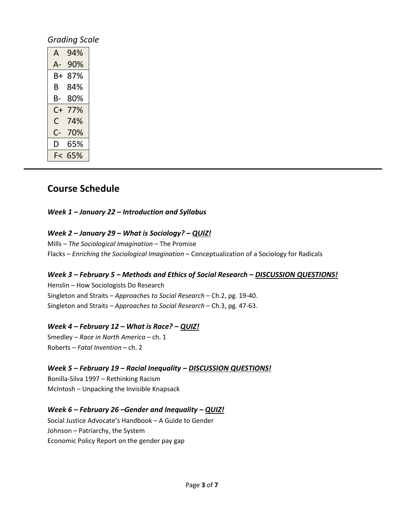# *Grading Scale*

| A  | 94% |
|----|-----|
| А- | 90% |
| B+ | 87% |
| В  | 84% |
| B- | 80% |
|    |     |
| C+ | 77% |
| C  | 74% |
| C- | 70% |
| D  | 65% |

# **Course Schedule**

### *Week 1 – January 22 – Introduction and Syllabus*

### *Week 2 – January 29 – What is Sociology? – QUIZ!*

Mills – *The Sociological Imagination* – The Promise Flacks – *Enriching the Sociological Imagination* – Conceptualization of a Sociology for Radicals

### *Week 3 – February 5 – Methods and Ethics of Social Research – DISCUSSION QUESTIONS!*

Henslin – How Sociologists Do Research Singleton and Straits – *Approaches to Social Research* – Ch.2, pg. 19-40. Singleton and Straits – *Approaches to Social Research* – Ch.3, pg. 47-63.

### *Week 4 – February 12 – What is Race? – QUIZ!*

Smedley – *Race in North America* – ch. 1 Roberts – *Fatal Invention* – ch. 2

### *Week 5 – February 19 – Racial Inequality – DISCUSSION QUESTIONS!*

Bonilla-Silva 1997 – Rethinking Racism McIntosh – Unpacking the Invisible Knapsack

### *Week 6 – February 26 –Gender and Inequality – QUIZ!*

Social Justice Advocate's Handbook – A Guide to Gender Johnson – Patriarchy, the System Economic Policy Report on the gender pay gap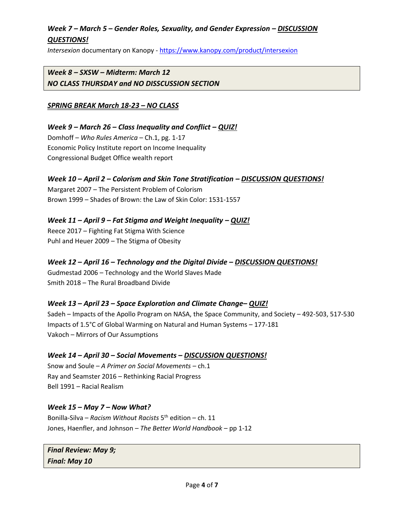# *Week 7 – March 5 – Gender Roles, Sexuality, and Gender Expression – DISCUSSION QUESTIONS!*

*Intersexion* documentary on Kanopy - <https://www.kanopy.com/product/intersexion>

## *Week 8 – SXSW – Midterm: March 12 NO CLASS THURSDAY and NO DISSCUSSION SECTION*

### *SPRING BREAK March 18-23 – NO CLASS*

*Week 9 – March 26 – Class Inequality and Conflict – QUIZ!* Domhoff – *Who Rules America* – Ch.1, pg. 1-17 Economic Policy Institute report on Income Inequality Congressional Budget Office wealth report

# *Week 10 – April 2 – Colorism and Skin Tone Stratification – DISCUSSION QUESTIONS!*

Margaret 2007 – The Persistent Problem of Colorism Brown 1999 – Shades of Brown: the Law of Skin Color: 1531-1557

### *Week 11 – April 9 – Fat Stigma and Weight Inequality – QUIZ!*

Reece 2017 – Fighting Fat Stigma With Science Puhl and Heuer 2009 – The Stigma of Obesity

## *Week 12 – April 16 – Technology and the Digital Divide – DISCUSSION QUESTIONS!*

Gudmestad 2006 – Technology and the World Slaves Made Smith 2018 – The Rural Broadband Divide

### *Week 13 – April 23 – Space Exploration and Climate Change– QUIZ!*

Sadeh – Impacts of the Apollo Program on NASA, the Space Community, and Society – 492-503, 517-530 Impacts of 1.5°C of Global Warming on Natural and Human Systems – 177-181 Vakoch – Mirrors of Our Assumptions

### *Week 14 – April 30 – Social Movements – DISCUSSION QUESTIONS!*

Snow and Soule – *A Primer on Social Movements* – ch.1 Ray and Seamster 2016 – Rethinking Racial Progress Bell 1991 – Racial Realism

### *Week 15 – May 7 – Now What?*

Bonilla-Silva – *Racism Without Racists* 5 th edition – ch. 11 Jones, Haenfler, and Johnson – *The Better World Handbook* – pp 1-12

*Final Review: May 9; Final: May 10*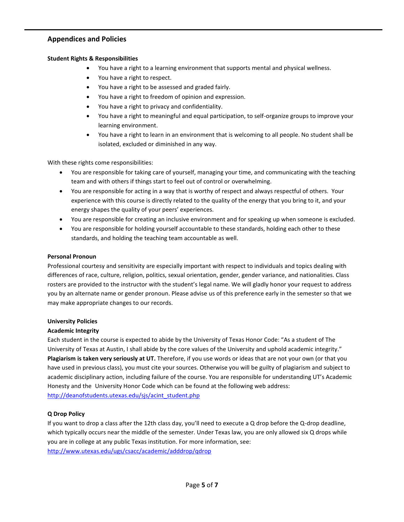#### **Appendices and Policies**

#### **Student Rights & Responsibilities**

- You have a right to a learning environment that supports mental and physical wellness.
- You have a right to respect.
- You have a right to be assessed and graded fairly.
- You have a right to freedom of opinion and expression.
- You have a right to privacy and confidentiality.
- You have a right to meaningful and equal participation, to self-organize groups to improve your learning environment.
- You have a right to learn in an environment that is welcoming to all people. No student shall be isolated, excluded or diminished in any way.

With these rights come responsibilities:

- You are responsible for taking care of yourself, managing your time, and communicating with the teaching team and with others if things start to feel out of control or overwhelming.
- You are responsible for acting in a way that is worthy of respect and always respectful of others. Your experience with this course is directly related to the quality of the energy that you bring to it, and your energy shapes the quality of your peers' experiences.
- You are responsible for creating an inclusive environment and for speaking up when someone is excluded.
- You are responsible for holding yourself accountable to these standards, holding each other to these standards, and holding the teaching team accountable as well.

#### **Personal Pronoun**

Professional courtesy and sensitivity are especially important with respect to individuals and topics dealing with differences of race, culture, religion, politics, sexual orientation, gender, gender variance, and nationalities. Class rosters are provided to the instructor with the student's legal name. We will gladly honor your request to address you by an alternate name or gender pronoun. Please advise us of this preference early in the semester so that we may make appropriate changes to our records.

#### **University Policies**

#### **Academic Integrity**

Each student in the course is expected to abide by the University of Texas Honor Code: "As a student of The University of Texas at Austin, I shall abide by the core values of the University and uphold academic integrity." **Plagiarism is taken very seriously at UT.** Therefore, if you use words or ideas that are not your own (or that you have used in previous class), you must cite your sources. Otherwise you will be guilty of plagiarism and subject to academic disciplinary action, including failure of the course. You are responsible for understanding UT's Academic Honesty and the University Honor Code which can be found at the following web address: [http://deanofstudents.utexas.edu/sjs/acint\\_student.php](http://deanofstudents.utexas.edu/sjs/acint_student.php)

#### **Q Drop Policy**

If you want to drop a class after the 12th class day, you'll need to execute a Q drop before the Q-drop deadline, which typically occurs near the middle of the semester. Under Texas law, you are only allowed six Q drops while you are in college at any public Texas institution. For more information, see: <http://www.utexas.edu/ugs/csacc/academic/adddrop/qdrop>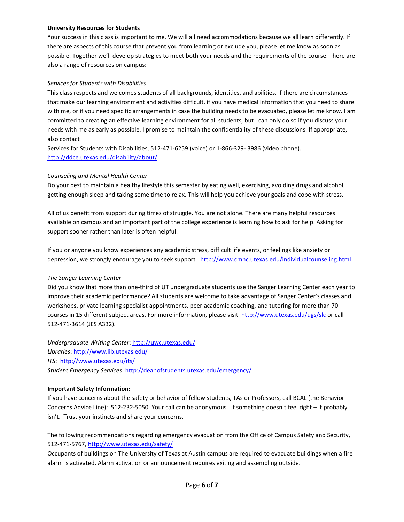#### **University Resources for Students**

Your success in this class is important to me. We will all need accommodations because we all learn differently. If there are aspects of this course that prevent you from learning or exclude you, please let me know as soon as possible. Together we'll develop strategies to meet both your needs and the requirements of the course. There are also a range of resources on campus:

#### *Services for Students with Disabilities*

This class respects and welcomes students of all backgrounds, identities, and abilities. If there are circumstances that make our learning environment and activities difficult, if you have medical information that you need to share with me, or if you need specific arrangements in case the building needs to be evacuated, please let me know. I am committed to creating an effective learning environment for all students, but I can only do so if you discuss your needs with me as early as possible. I promise to maintain the confidentiality of these discussions. If appropriate, also contact

Services for Students with Disabilities, 512-471-6259 (voice) or 1-866-329- 3986 (video phone). <http://ddce.utexas.edu/disability/about/>

#### *Counseling and Mental Health Center*

Do your best to maintain a healthy lifestyle this semester by eating well, exercising, avoiding drugs and alcohol, getting enough sleep and taking some time to relax. This will help you achieve your goals and cope with stress.

All of us benefit from support during times of struggle. You are not alone. There are many helpful resources available on campus and an important part of the college experience is learning how to ask for help. Asking for support sooner rather than later is often helpful.

If you or anyone you know experiences any academic stress, difficult life events, or feelings like anxiety or depression, we strongly encourage you to seek support.<http://www.cmhc.utexas.edu/individualcounseling.html>

#### *The Sanger Learning Center*

Did you know that more than one-third of UT undergraduate students use the Sanger Learning Center each year to improve their academic performance? All students are welcome to take advantage of Sanger Center's classes and workshops, private learning specialist appointments, peer academic coaching, and tutoring for more than 70 courses in 15 different subject areas. For more information, please visit <http://www.utexas.edu/ugs/slc> or call 512-471-3614 (JES A332).

*Undergraduate Writing Center*:<http://uwc.utexas.edu/> *Libraries*[: http://www.lib.utexas.edu/](http://www.lib.utexas.edu/) *ITS*: <http://www.utexas.edu/its/> *Student Emergency Services*:<http://deanofstudents.utexas.edu/emergency/>

#### **Important Safety Information:**

If you have concerns about the safety or behavior of fellow students, TAs or Professors, call BCAL (the Behavior Concerns Advice Line): 512-232-5050. Your call can be anonymous. If something doesn't feel right – it probably isn't. Trust your instincts and share your concerns.

The following recommendations regarding emergency evacuation from the Office of Campus Safety and Security, 512-471-5767[, http://www.utexas.edu/safety/](http://www.utexas.edu/safety/)

Occupants of buildings on The University of Texas at Austin campus are required to evacuate buildings when a fire alarm is activated. Alarm activation or announcement requires exiting and assembling outside.